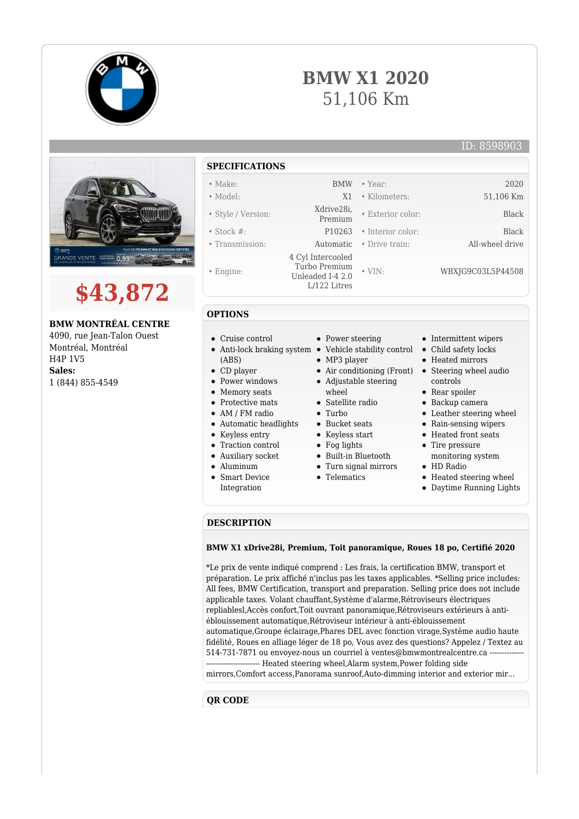







**BMW MONTRÉAL CENTRE**

4090, rue Jean-Talon Ouest Montréal, Montréal H4P 1V5 **Sales:** 1 (844) 855-4549

## **SPECIFICATIONS**

- Make: BMW Year: 2020
- Model: X1 Kilometers: 51,106 Km
- Style / Version: Xdrive28i,
- 
- 
- Engine:
- 

**OPTIONS**

(ABS)

- Stock #: P10263 Interior color: Black • Transmission: Automatic • Drive train: All-wheel drive 4 Cyl Intercooled Turbo Premium Unleaded I-4 2.0 L/122 Litres
	- - Power steering
	- Anti-lock braking system Vehicle stability control
		-
		- Air conditioning (Front) Steering wheel audio
		- wheel
		-
		- $\bullet$  Turbo
		- Bucket seats
		- Keyless start
		- Fog lights
		- Built-in Bluetooth
		-
		-
- Intermittent wipers
- Child safety locks

• Exterior color: Black

• VIN: WBXJG9C03L5P44508

- Heated mirrors
- controls
- Rear spoiler
- Backup camera
- Leather steering wheel
- Rain-sensing wipers
- Heated front seats
- Tire pressure monitoring system
- HD Radio
- Heated steering wheel
- Daytime Running Lights

## **DESCRIPTION**

## **BMW X1 xDrive28i, Premium, Toit panoramique, Roues 18 po, Certifié 2020**

\*Le prix de vente indiqué comprend : Les frais, la certification BMW, transport et préparation. Le prix affiché n'inclus pas les taxes applicables. \*Selling price includes: All fees, BMW Certification, transport and preparation. Selling price does not include applicable taxes. Volant chauffant,Système d'alarme,Rétroviseurs électriques repliablesl,Accès confort,Toit ouvrant panoramique,Rétroviseurs extérieurs à antiéblouissement automatique,Rétroviseur intérieur à anti-éblouissement automatique,Groupe éclairage,Phares DEL avec fonction virage,Système audio haute fidélité, Roues en alliage léger de 18 po, Vous avez des questions? Appelez / Textez au 514-731-7871 ou envoyez-nous un courriel à ventes@bmwmontrealcentre.ca ----------------------- Heated steering wheel,Alarm system,Power folding side mirrors,Comfort access,Panorama sunroof,Auto-dimming interior and exterior mir...

## **QR CODE**

- CD player • Power windows
- Memory seats

Cruise control

- Protective mats
- AM / FM radio
- Automatic headlights
- Keyless entry
- Traction control
- Auxiliary socket
- Aluminum
- Smart Device
- MP3 player
- 





- -
	- - Turn signal mirrors
		- **•** Telematics
			-

- 
- 
- 
- 
- 
- 
- 
- Integration

Adjustable steering

- 
- 
-